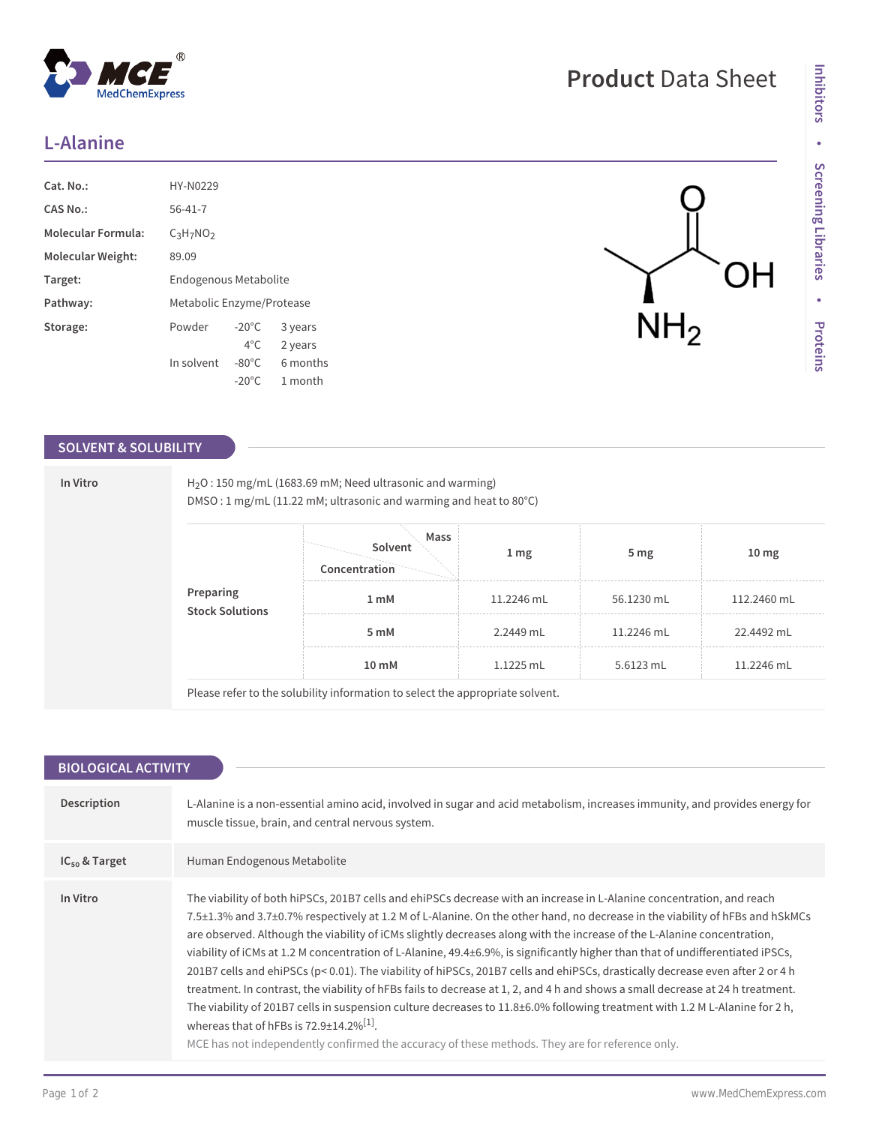## **L-Alanine**

| Cat. No.:                 | HY-N0229                  |                 |          |
|---------------------------|---------------------------|-----------------|----------|
| CAS No.:                  | $56 - 41 - 7$             |                 |          |
| <b>Molecular Formula:</b> | $C_3H_7NO_2$              |                 |          |
| Molecular Weight:         | 89.09                     |                 |          |
| Target:                   | Endogenous Metabolite     |                 |          |
| Pathway:                  | Metabolic Enzyme/Protease |                 |          |
| Storage:                  | Powder                    | $-20^{\circ}$ C | 3 years  |
|                           |                           | $4^{\circ}$ C   | 2 years  |
|                           | In solvent                | $-80^{\circ}$ C | 6 months |
|                           |                           | $-20^{\circ}$ C | 1 month  |

 $^{\circledR}$ 

MedChemExpress

## **SOLVENT & SOLUBILITY**

|  | DMSO: 1 mg/mL (11.22 mM; ultrasonic and warming and heat to 80°C) |                                  |                 |                 |                  |  |  |
|--|-------------------------------------------------------------------|----------------------------------|-----------------|-----------------|------------------|--|--|
|  | Preparing<br><b>Stock Solutions</b>                               | Mass<br>Solvent<br>Concentration | 1 <sub>mg</sub> | 5 <sub>mg</sub> | 10 <sub>mg</sub> |  |  |
|  |                                                                   | 1 <sub>m</sub> M                 | 11.2246 mL      | 56.1230 mL      | 112.2460 mL      |  |  |
|  |                                                                   | 5 mM                             | 2.2449 mL       | 11.2246 mL      | 22.4492 mL       |  |  |
|  |                                                                   | 10 <sub>m</sub> M                | $1.1225$ mL     | 5.6123 mL       | 11.2246 mL       |  |  |

| <b>BIOLOGICAL ACTIVITY</b> |                                                                                                                                                                                                                                                                                                                                                                                                                                                                                                                                                                                                                                                                                                                                                                                                                                                                                                                                                                                                                                                                                       |  |  |  |  |
|----------------------------|---------------------------------------------------------------------------------------------------------------------------------------------------------------------------------------------------------------------------------------------------------------------------------------------------------------------------------------------------------------------------------------------------------------------------------------------------------------------------------------------------------------------------------------------------------------------------------------------------------------------------------------------------------------------------------------------------------------------------------------------------------------------------------------------------------------------------------------------------------------------------------------------------------------------------------------------------------------------------------------------------------------------------------------------------------------------------------------|--|--|--|--|
| Description                | L-Alanine is a non-essential amino acid, involved in sugar and acid metabolism, increases immunity, and provides energy for<br>muscle tissue, brain, and central nervous system.                                                                                                                                                                                                                                                                                                                                                                                                                                                                                                                                                                                                                                                                                                                                                                                                                                                                                                      |  |  |  |  |
| $IC_{50}$ & Target         | Human Endogenous Metabolite                                                                                                                                                                                                                                                                                                                                                                                                                                                                                                                                                                                                                                                                                                                                                                                                                                                                                                                                                                                                                                                           |  |  |  |  |
| In Vitro                   | The viability of both hiPSCs, 201B7 cells and ehiPSCs decrease with an increase in L-Alanine concentration, and reach<br>7.5±1.3% and 3.7±0.7% respectively at 1.2 M of L-Alanine. On the other hand, no decrease in the viability of hFBs and hSkMCs<br>are observed. Although the viability of iCMs slightly decreases along with the increase of the L-Alanine concentration,<br>viability of iCMs at 1.2 M concentration of L-Alanine, 49.4±6.9%, is significantly higher than that of undifferentiated iPSCs,<br>201B7 cells and ehiPSCs (p< 0.01). The viability of hiPSCs, 201B7 cells and ehiPSCs, drastically decrease even after 2 or 4 h<br>treatment. In contrast, the viability of hFBs fails to decrease at 1, 2, and 4 h and shows a small decrease at 24 h treatment.<br>The viability of 201B7 cells in suspension culture decreases to 11.8±6.0% following treatment with 1.2 M L-Alanine for 2 h,<br>whereas that of hFBs is $72.9 \pm 14.2\%$ <sup>[1]</sup> .<br>MCE has not independently confirmed the accuracy of these methods. They are for reference only. |  |  |  |  |

## **Product** Data Sheet

 $\overline{NH}_{2}$ 

OH